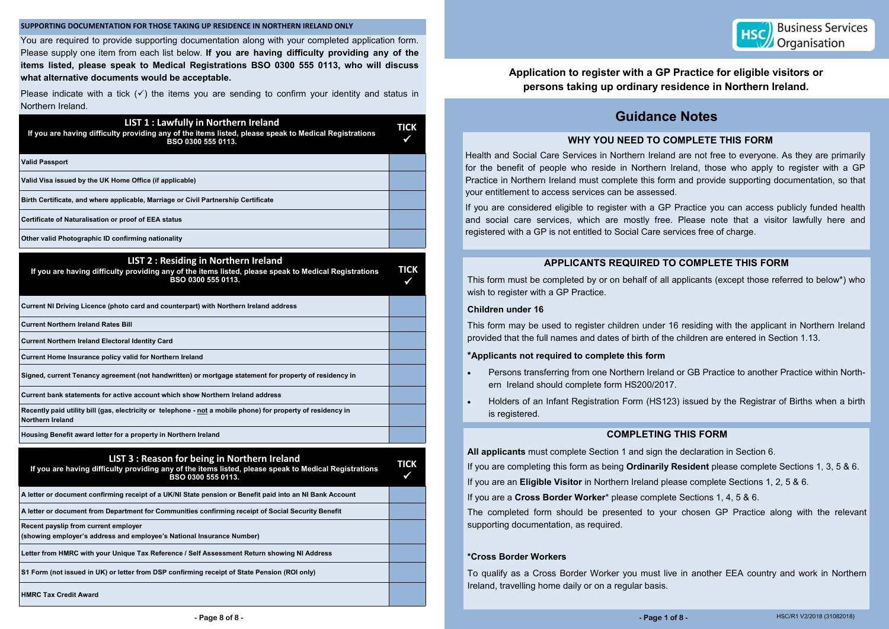### **SUPPORTING DOCUMENTATION FOR THOSE TAKING UP RESIDENCE IN NORTHERN IRELAND ONLY**

You are required to provide supporting documentation along with your completed application form. Please supply one item from each list below. **If you are having difficulty providing any of the items listed, please speak to Medical Registrations BSO 0300 555 0113, who will discuss what alternative documents would be acceptable.** 

Please indicate with a tick  $(\checkmark)$  the items you are sending to confirm your identity and status in Northern Ireland.

| <b>LIST 3: Reason for being in Northern Ireland</b><br>If you are having difficulty providing any of the items listed, please speak to Medical Registrations<br>BSO 0300 555 0113. | <b>TICK</b> |
|------------------------------------------------------------------------------------------------------------------------------------------------------------------------------------|-------------|
| A letter or document confirming receipt of a UK/NI State pension or Benefit paid into an NI Bank Account                                                                           |             |
| $\,$ A letter or document from Department for Communities confirming receipt of Social Security Benefit                                                                            |             |
| Recent payslip from current employer<br>(showing employer's address and employee's National Insurance Number)                                                                      |             |
| Letter from HMRC with your Unique Tax Reference / Self Assessment Return showing NI Address                                                                                        |             |
| S1 Form (not issued in UK) or letter from DSP confirming receipt of State Pension (ROI only)                                                                                       |             |
| <b>HMRC Tax Credit Award</b>                                                                                                                                                       |             |

| <b>LIST 1: Lawfully in Northern Ireland</b><br>If you are having difficulty providing any of the items listed, please speak to Medical Registrations<br>BSO 0300 555 0113. | <b>TICK</b>      |
|----------------------------------------------------------------------------------------------------------------------------------------------------------------------------|------------------|
| <b>Valid Passport</b>                                                                                                                                                      |                  |
| Valid Visa issued by the UK Home Office (if applicable)                                                                                                                    |                  |
| Birth Certificate, and where applicable, Marriage or Civil Partnership Certificate                                                                                         |                  |
| Certificate of Naturalisation or proof of EEA status                                                                                                                       |                  |
| Other valid Photographic ID confirming nationality                                                                                                                         |                  |
| <b>LIST 2: Residing in Northern Ireland</b><br>If you are having difficulty providing any of the items listed, please speak to Medical Registrations<br>BSO 0300 555 0113. | <b>TICK</b><br>✔ |
| Current NI Driving Licence (photo card and counterpart) with Northern Ireland address                                                                                      |                  |
| <b>Current Northern Ireland Rates Bill</b>                                                                                                                                 |                  |
| <b>Current Northern Ireland Electoral Identity Card</b>                                                                                                                    |                  |
| Current Home Insurance policy valid for Northern Ireland                                                                                                                   |                  |
| Signed, current Tenancy agreement (not handwritten) or mortgage statement for property of residency in                                                                     |                  |
| Current bank statements for active account which show Northern Ireland address                                                                                             |                  |
| Recently paid utility bill (gas, electricity or telephone - not a mobile phone) for property of residency in<br><b>Northern Ireland</b>                                    |                  |
| Housing Benefit award letter for a property in Northern Ireland                                                                                                            |                  |
| IIST 3 · Reason for heing in Northern Ireland                                                                                                                              |                  |

## **Application to register with a GP Practice for eligible visitors or persons taking up ordinary residence in Northern Ireland.**

## **WHY YOU NEED TO COMPLETE THIS FORM**

Health and Social Care Services in Northern Ireland are not free to everyone. As they are primarily for the benefit of people who reside in Northern Ireland, those who apply to register with a GP Practice in Northern Ireland must complete this form and provide supporting documentation, so that your entitlement to access services can be assessed.

If you are considered eligible to register with a GP Practice you can access publicly funded health and social care services, which are mostly free. Please note that a visitor lawfully here and registered with a GP is not entitled to Social Care services free of charge.

## **APPLICANTS REQUIRED TO COMPLETE THIS FORM**

This form must be completed by or on behalf of all applicants (except those referred to below\*) who wish to register with a GP Practice.

### **Children under 16**

This form may be used to register children under 16 residing with the applicant in Northern Ireland provided that the full names and dates of birth of the children are entered in Section 1.13.

## **\*Applicants not required to complete this form**

Persons transferring from one Northern Ireland or GB Practice to another Practice within North-

- ern Ireland should complete form HS200/2017.
- is registered.

Holders of an Infant Registration Form (HS123) issued by the Registrar of Births when a birth

# **Guidance Notes**

## **COMPLETING THIS FORM**

**All applicants** must complete Section 1 and sign the declaration in Section 6. If you are completing this form as being **Ordinarily Resident** please complete Sections 1, 3, 5 & 6. If you are an **Eligible Visitor** in Northern Ireland please complete Sections 1, 2, 5 & 6. If you are a **Cross Border Worker**\* please complete Sections 1, 4, 5 & 6. The completed form should be presented to your chosen GP Practice along with the relevant supporting documentation, as required.

## **\*Cross Border Workers**

To qualify as a Cross Border Worker you must live in another EEA country and work in Northern Ireland, travelling home daily or on a regular basis.

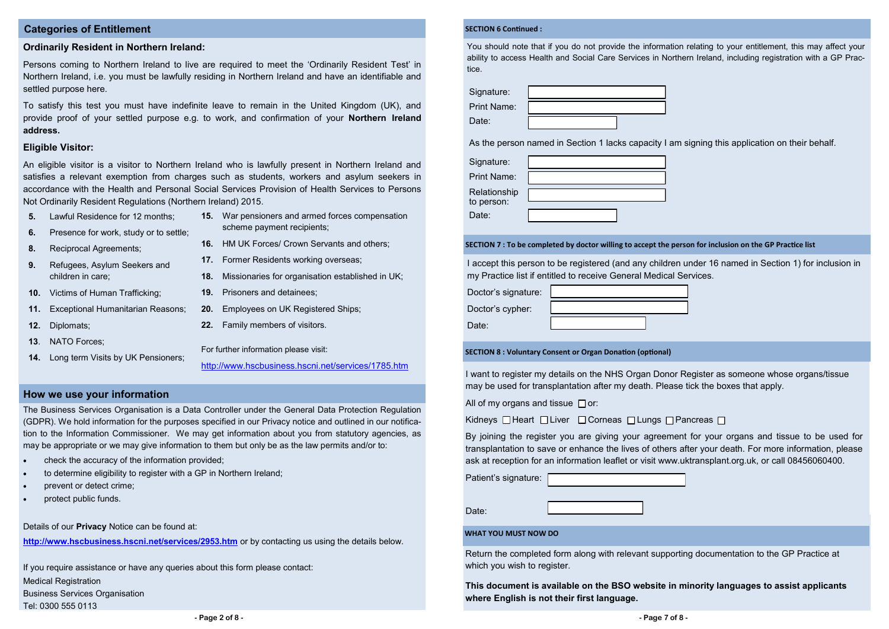## **How we use your information**

## **Categories of Entitlement**

## **Ordinarily Resident in Northern Ireland:**

Persons coming to Northern Ireland to live are required to meet the 'Ordinarily Resident Test' in Northern Ireland, i.e. you must be lawfully residing in Northern Ireland and have an identifiable and settled purpose here.

To satisfy this test you must have indefinite leave to remain in the United Kingdom (UK), and provide proof of your settled purpose e.g. to work, and confirmation of your **Northern Ireland address.** 

## **Eligible Visitor:**

An eligible visitor is a visitor to Northern Ireland who is lawfully present in Northern Ireland and satisfies a relevant exemption from charges such as students, workers and asylum seekers in accordance with the Health and Personal Social Services Provision of Health Services to Persons Not Ordinarily Resident Regulations (Northern Ireland) 2015.

- **5.** Lawful Residence for 12 months;
- **6.** Presence for work, study or to settle;
- **8.** Reciprocal Agreements;
- **9.** Refugees, Asylum Seekers and children in care;
- **10.** Victims of Human Trafficking;
- **11.** Exceptional Humanitarian Reasons;
- **12.** Diplomats;
- **13**. NATO Forces;
- **14.** Long term Visits by UK Pensioners;
- **15.** War pensioners and armed forces compensation scheme payment recipients;
- **16.** HM UK Forces/ Crown Servants and others;
- **17.** Former Residents working overseas;
- **18.** Missionaries for organisation established in UK;
- **19.** Prisoners and detainees;
- **20.** Employees on UK Registered Ships;
- **22.** Family members of visitors.

For further information please visit:

<http://www.hscbusiness.hscni.net/services/1785.htm>

If you require assistance or have any queries about this form please contact: Medical Registration Business Services Organisation Tel: 0300 555 0113

The Business Services Organisation is a Data Controller under the General Data Protection Regulation (GDPR). We hold information for the purposes specified in our Privacy notice and outlined in our notification to the Information Commissioner. We may get information about you from statutory agencies, as may be appropriate or we may give information to them but only be as the law permits and/or to:

- check the accuracy of the information provided;
- to determine eligibility to register with a GP in Northern Ireland;
- prevent or detect crime;
- protect public funds.

Details of our **Privacy** Notice can be found at:

**<http://www.hscbusiness.hscni.net/services/2953.htm>** or by contacting us using the details below.

### **WHAT YOU MUST NOW DO**

Return the completed form along with relevant supporting documentation to the GP Practice at which you wish to register.

**This document is available on the BSO website in minority languages to assist applicants where English is not their first language.** 

**SECTION 7 : To be completed by doctor willing to accept the person for inclusion on the GP Practice list**

I accept this person to be registered (and any children under 16 named in Section 1) for inclusion in my Practice list if entitled to receive General Medical Services.

|                  | Doctor's signature: |
|------------------|---------------------|
| Doctor's cypher: |                     |

Date:

**SECTION 8 : Voluntary Consent or Organ Donation (optional)**

I want to register my details on the NHS Organ Donor Register as someone whose organs/tissue may be used for transplantation after my death. Please tick the boxes that apply.

All of my organs and tissue  $\Box$  or:

Kidneys  $\Box$  Heart  $\Box$  Liver  $\Box$  Corneas  $\Box$  Lungs  $\Box$  Pancreas  $\Box$ 

By joining the register you are giving your agreement for your organs and tissue to be used for transplantation to save or enhance the lives of others after your death. For more information, please ask at reception for an information leaflet or visit www.uktransplant.org.uk, or call 08456060400.

Patient's signature:

Date:

| Signature:         |  |
|--------------------|--|
| <b>Print Name:</b> |  |
| Relationship       |  |
| to person:         |  |
| Date:              |  |

| Signature:         |  |
|--------------------|--|
| <b>Print Name:</b> |  |
| Date:              |  |

As the person named in Section 1 lacks capacity I am signing this application on their behalf.

### **SECTION 6 Continued :**

You should note that if you do not provide the information relating to your entitlement, this may affect your ability to access Health and Social Care Services in Northern Ireland, including registration with a GP Practice.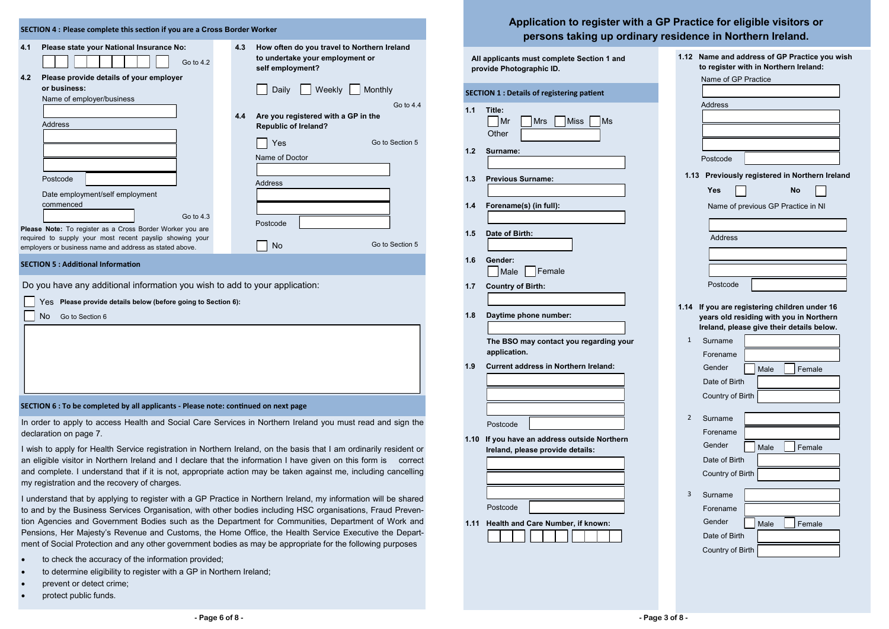In order to apply to access Health and Social Care Services in Northern Ireland you must read and sign the declaration on page 7.

I wish to apply for Health Service registration in Northern Ireland, on the basis that I am ordinarily resident or an eligible visitor in Northern Ireland and I declare that the information I have given on this form is correct and complete. I understand that if it is not, appropriate action may be taken against me, including cancelling my registration and the recovery of charges.

I understand that by applying to register with a GP Practice in Northern Ireland, my information will be shared to and by the Business Services Organisation, with other bodies including HSC organisations, Fraud Prevention Agencies and Government Bodies such as the Department for Communities, Department of Work and Pensions, Her Majesty's Revenue and Customs, the Home Office, the Health Service Executive the Department of Social Protection and any other government bodies as may be appropriate for the following purposes

| SECTION 4 : Please complete this section if you are a Cross Border Worker                                              |     |                                                                                                    |  |  |
|------------------------------------------------------------------------------------------------------------------------|-----|----------------------------------------------------------------------------------------------------|--|--|
| 4.1<br>Please state your National Insurance No:<br>Go to 4.2                                                           | 4.3 | How often do you travel to Northern Ireland<br>to undertake your employment or<br>self employment? |  |  |
| Please provide details of your employer<br>4.2<br>or business:<br>Name of employer/business                            |     | Weekly<br>Daily<br>Monthly<br>Go to 4.4                                                            |  |  |
| <b>Address</b>                                                                                                         | 4.4 | Are you registered with a GP in the<br><b>Republic of Ireland?</b>                                 |  |  |
| Postcode                                                                                                               |     | Go to Section 5<br>Yes<br>Name of Doctor<br>Address                                                |  |  |
| Date employment/self employment<br>commenced<br>Go to 4.3<br>Please Note: To register as a Cross Border Worker you are |     | Postcode                                                                                           |  |  |
| required to supply your most recent payslip showing your<br>employers or business name and address as stated above.    |     | Go to Section 5<br><b>No</b>                                                                       |  |  |
| <b>SECTION 5: Additional Information</b>                                                                               |     |                                                                                                    |  |  |
| Do you have any additional information you wish to add to your application:                                            |     |                                                                                                    |  |  |

- to check the accuracy of the information provided;
- to determine eligibility to register with a GP in Northern Ireland;
- prevent or detect crime;
- protect public funds.

| Application to register with a GP |  |
|-----------------------------------|--|
| persons taking up ordinary re     |  |

## **SECTION 6 : To be completed by all applicants - Please note: continued on next page**

Yes **Please provide details below (before going to Section 6):**

No Go to Section 6

## **Practice for eligible visitors or persons in Northern Ireland.**

| All applicants must complete Section 1 and<br>provide Photographic ID. |                                                                 |  |  |
|------------------------------------------------------------------------|-----------------------------------------------------------------|--|--|
|                                                                        | <b>SECTION 1 : Details of registering patient</b>               |  |  |
| 1.1                                                                    | Title:<br><b>Miss</b><br>Mr<br><b>Mrs</b><br><b>Ms</b><br>Other |  |  |
| 1.2                                                                    | Surname:                                                        |  |  |
| 1.3                                                                    | <b>Previous Surname:</b>                                        |  |  |
| 1.4                                                                    | Forename(s) (in full):                                          |  |  |
| 1.5                                                                    | Date of Birth:                                                  |  |  |
| 1.6                                                                    | Gender:<br>  Female<br>Male                                     |  |  |
| 1.7                                                                    | <b>Country of Birth:</b>                                        |  |  |
| 1.8                                                                    | Daytime phone number:                                           |  |  |
|                                                                        | The BSO may contact you regarding your<br>application.          |  |  |
| 1.9                                                                    | <b>Current address in Northern Ireland:</b>                     |  |  |
|                                                                        |                                                                 |  |  |
| 1.10                                                                   | Postcode<br>If you have an address outside Northern             |  |  |
|                                                                        | Ireland, please provide details:                                |  |  |
|                                                                        |                                                                 |  |  |
|                                                                        | Postcode                                                        |  |  |
| 1.11                                                                   | Health and Care Number, if known:                               |  |  |

| 1.12                | Name and address of GP Practice you wish<br>to register with in Northern Ireland:   |  |  |  |  |
|---------------------|-------------------------------------------------------------------------------------|--|--|--|--|
| Name of GP Practice |                                                                                     |  |  |  |  |
|                     |                                                                                     |  |  |  |  |
|                     | Address                                                                             |  |  |  |  |
|                     |                                                                                     |  |  |  |  |
|                     |                                                                                     |  |  |  |  |
|                     |                                                                                     |  |  |  |  |
|                     | Postcode                                                                            |  |  |  |  |
| 1.13                | Previously registered in Northern Ireland                                           |  |  |  |  |
|                     | Yes<br>No                                                                           |  |  |  |  |
|                     |                                                                                     |  |  |  |  |
|                     | Name of previous GP Practice in NI                                                  |  |  |  |  |
|                     |                                                                                     |  |  |  |  |
|                     | Address                                                                             |  |  |  |  |
|                     |                                                                                     |  |  |  |  |
|                     |                                                                                     |  |  |  |  |
|                     | Postcode                                                                            |  |  |  |  |
|                     |                                                                                     |  |  |  |  |
| 1.14                | If you are registering children under 16<br>years old residing with you in Northern |  |  |  |  |
|                     | Ireland, please give their details below.                                           |  |  |  |  |
| 1                   | Surname                                                                             |  |  |  |  |
|                     | Forename                                                                            |  |  |  |  |
|                     | Gender<br>Male<br>Female                                                            |  |  |  |  |
|                     | Date of Birth                                                                       |  |  |  |  |
|                     | Country of Birth                                                                    |  |  |  |  |
|                     |                                                                                     |  |  |  |  |
| 2                   | Surname                                                                             |  |  |  |  |
|                     | Forename                                                                            |  |  |  |  |
|                     | Gender<br>Male<br>Female                                                            |  |  |  |  |
|                     | Date of Birth                                                                       |  |  |  |  |
|                     | Country of Birth                                                                    |  |  |  |  |
| 3                   | Surname                                                                             |  |  |  |  |
|                     | Forename                                                                            |  |  |  |  |
|                     | Gender<br>Male<br>Female                                                            |  |  |  |  |
|                     | Date of Birth                                                                       |  |  |  |  |
|                     | Country of Birth                                                                    |  |  |  |  |
|                     |                                                                                     |  |  |  |  |